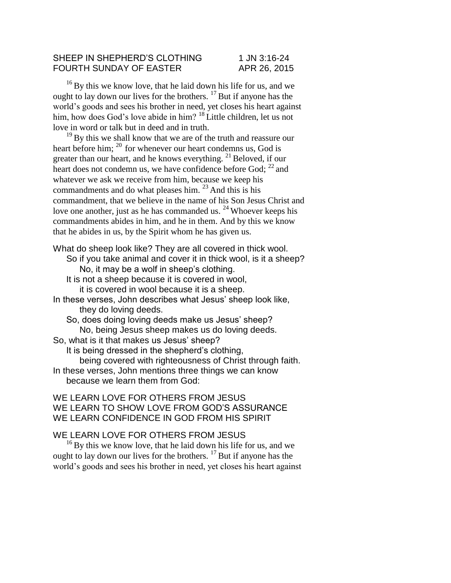## SHEEP IN SHEPHERD'S CLOTHING 1 JN 3:16-24 FOURTH SUNDAY OF EASTER APR 26, 2015

<sup>16</sup> By this we know love, that he laid down his life for us, and we ought to lay down our lives for the brothers. <sup>17</sup> But if anyone has the world's goods and sees his brother in need, yet closes his heart against him, how does God's love abide in him? <sup>18</sup> Little children, let us not love in word or talk but in deed and in truth.

<sup>19</sup>By this we shall know that we are of the truth and reassure our heart before him;  $^{20}$  for whenever our heart condemns us, God is greater than our heart, and he knows everything. <sup>21</sup> Beloved, if our heart does not condemn us, we have confidence before God;  $^{22}$  and whatever we ask we receive from him, because we keep his commandments and do what pleases him.  $2<sup>3</sup>$  And this is his commandment, that we believe in the name of his Son Jesus Christ and love one another, just as he has commanded us.  $24$  Whoever keeps his commandments abides in him, and he in them. And by this we know that he abides in us, by the Spirit whom he has given us.

What do sheep look like? They are all covered in thick wool. So if you take animal and cover it in thick wool, is it a sheep? No, it may be a wolf in sheep's clothing. It is not a sheep because it is covered in wool, it is covered in wool because it is a sheep. In these verses, John describes what Jesus' sheep look like, they do loving deeds. So, does doing loving deeds make us Jesus' sheep? No, being Jesus sheep makes us do loving deeds. So, what is it that makes us Jesus' sheep? It is being dressed in the shepherd's clothing, being covered with righteousness of Christ through faith. In these verses, John mentions three things we can know because we learn them from God:

## WE LEARN LOVE FOR OTHERS FROM JESUS WE LEARN TO SHOW LOVE FROM GOD'S ASSURANCE WE LEARN CONFIDENCE IN GOD FROM HIS SPIRIT

## WE LEARN LOVE FOR OTHERS FROM JESUS

<sup>16</sup> By this we know love, that he laid down his life for us, and we ought to lay down our lives for the brothers.  $\frac{17}{8}$  But if anyone has the world's goods and sees his brother in need, yet closes his heart against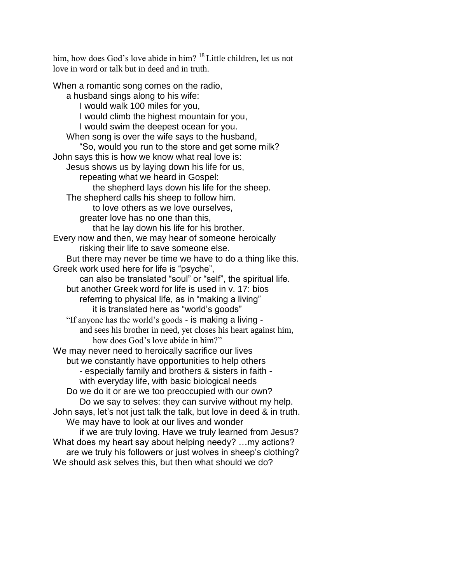him, how does God's love abide in him? <sup>18</sup> Little children, let us not love in word or talk but in deed and in truth.

When a romantic song comes on the radio, a husband sings along to his wife: I would walk 100 miles for you, I would climb the highest mountain for you, I would swim the deepest ocean for you. When song is over the wife says to the husband, "So, would you run to the store and get some milk? John says this is how we know what real love is: Jesus shows us by laying down his life for us, repeating what we heard in Gospel: the shepherd lays down his life for the sheep. The shepherd calls his sheep to follow him. to love others as we love ourselves, greater love has no one than this, that he lay down his life for his brother. Every now and then, we may hear of someone heroically risking their life to save someone else. But there may never be time we have to do a thing like this. Greek work used here for life is "psyche", can also be translated "soul" or "self", the spiritual life. but another Greek word for life is used in v. 17: bios referring to physical life, as in "making a living" it is translated here as "world's goods" "If anyone has the world's goods - is making a living and sees his brother in need, yet closes his heart against him, how does God's love abide in him?" We may never need to heroically sacrifice our lives but we constantly have opportunities to help others - especially family and brothers & sisters in faith with everyday life, with basic biological needs Do we do it or are we too preoccupied with our own? Do we say to selves: they can survive without my help. John says, let's not just talk the talk, but love in deed & in truth. We may have to look at our lives and wonder if we are truly loving. Have we truly learned from Jesus? What does my heart say about helping needy? …my actions? are we truly his followers or just wolves in sheep's clothing? We should ask selves this, but then what should we do?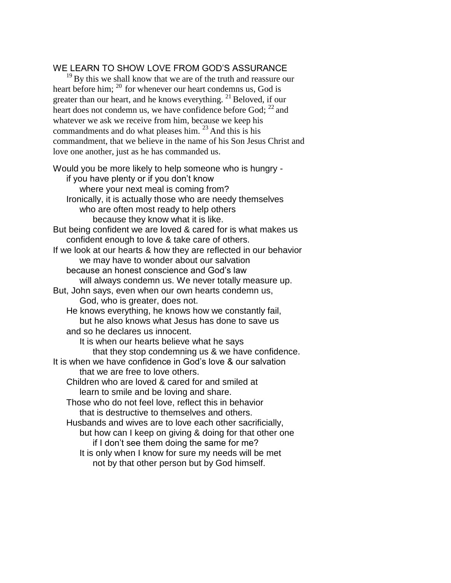## WE LEARN TO SHOW LOVE FROM GOD'S ASSURANCE

<sup>19</sup>By this we shall know that we are of the truth and reassure our heart before him; <sup>20</sup> for whenever our heart condemns us, God is greater than our heart, and he knows everything.  $21$  Beloved, if our heart does not condemn us, we have confidence before God;  $^{22}$  and whatever we ask we receive from him, because we keep his commandments and do what pleases him.  $^{23}$  And this is his commandment, that we believe in the name of his Son Jesus Christ and love one another, just as he has commanded us.

Would you be more likely to help someone who is hungry if you have plenty or if you don't know where your next meal is coming from? Ironically, it is actually those who are needy themselves who are often most ready to help others because they know what it is like. But being confident we are loved & cared for is what makes us confident enough to love & take care of others. If we look at our hearts & how they are reflected in our behavior we may have to wonder about our salvation because an honest conscience and God's law will always condemn us. We never totally measure up. But, John says, even when our own hearts condemn us, God, who is greater, does not. He knows everything, he knows how we constantly fail, but he also knows what Jesus has done to save us and so he declares us innocent. It is when our hearts believe what he says that they stop condemning us & we have confidence. It is when we have confidence in God's love & our salvation that we are free to love others. Children who are loved & cared for and smiled at learn to smile and be loving and share. Those who do not feel love, reflect this in behavior that is destructive to themselves and others. Husbands and wives are to love each other sacrificially, but how can I keep on giving & doing for that other one if I don't see them doing the same for me? It is only when I know for sure my needs will be met not by that other person but by God himself.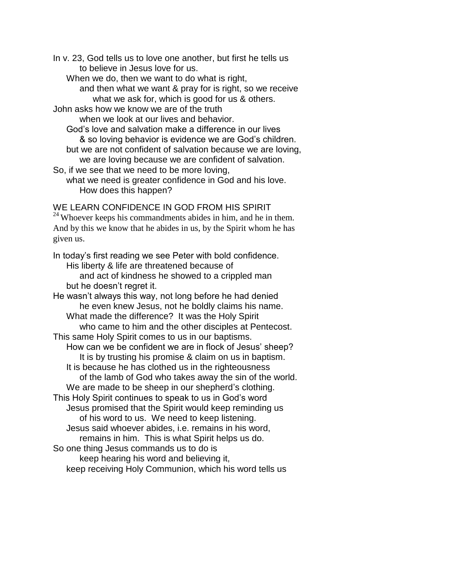In v. 23, God tells us to love one another, but first he tells us to believe in Jesus love for us.

When we do, then we want to do what is right,

and then what we want & pray for is right, so we receive what we ask for, which is good for us & others.

John asks how we know we are of the truth

when we look at our lives and behavior.

God's love and salvation make a difference in our lives & so loving behavior is evidence we are God's children.

but we are not confident of salvation because we are loving, we are loving because we are confident of salvation.

So, if we see that we need to be more loving,

what we need is greater confidence in God and his love. How does this happen?

WE LEARN CONFIDENCE IN GOD FROM HIS SPIRIT  $24$  Whoever keeps his commandments abides in him, and he in them.

And by this we know that he abides in us, by the Spirit whom he has given us.

In today's first reading we see Peter with bold confidence. His liberty & life are threatened because of and act of kindness he showed to a crippled man but he doesn't regret it. He wasn't always this way, not long before he had denied he even knew Jesus, not he boldly claims his name. What made the difference? It was the Holy Spirit who came to him and the other disciples at Pentecost. This same Holy Spirit comes to us in our baptisms. How can we be confident we are in flock of Jesus' sheep? It is by trusting his promise & claim on us in baptism. It is because he has clothed us in the righteousness of the lamb of God who takes away the sin of the world. We are made to be sheep in our shepherd's clothing. This Holy Spirit continues to speak to us in God's word Jesus promised that the Spirit would keep reminding us of his word to us. We need to keep listening. Jesus said whoever abides, i.e. remains in his word, remains in him. This is what Spirit helps us do. So one thing Jesus commands us to do is keep hearing his word and believing it,

keep receiving Holy Communion, which his word tells us